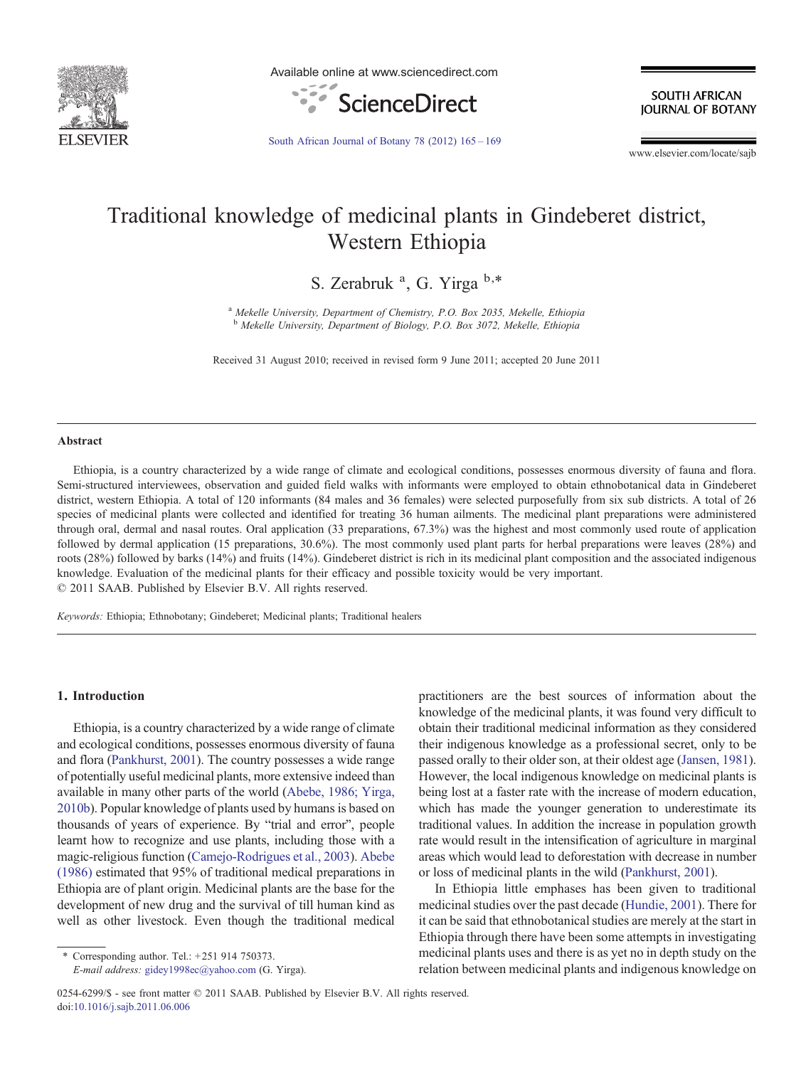

Available online at www.sciencedirect.com



**SOUTH AFRICAN IOURNAL OF BOTANY** 

[South African Journal of Botany 78 \(2012\) 165](http://dx.doi.org/10.1016/j.sajb.2011.06.006)–169

www.elsevier.com/locate/sajb

# Traditional knowledge of medicinal plants in Gindeberet district, Western Ethiopia

S. Zerabruk<sup>a</sup>, G. Yirga b,\*

<sup>a</sup> Mekelle University, Department of Chemistry, P.O. Box 2035, Mekelle, Ethiopia <sup>b</sup> Mekelle University, Department of Biology, P.O. Box 3072, Mekelle, Ethiopia

Received 31 August 2010; received in revised form 9 June 2011; accepted 20 June 2011

#### Abstract

Ethiopia, is a country characterized by a wide range of climate and ecological conditions, possesses enormous diversity of fauna and flora. Semi-structured interviewees, observation and guided field walks with informants were employed to obtain ethnobotanical data in Gindeberet district, western Ethiopia. A total of 120 informants (84 males and 36 females) were selected purposefully from six sub districts. A total of 26 species of medicinal plants were collected and identified for treating 36 human ailments. The medicinal plant preparations were administered through oral, dermal and nasal routes. Oral application (33 preparations, 67.3%) was the highest and most commonly used route of application followed by dermal application (15 preparations, 30.6%). The most commonly used plant parts for herbal preparations were leaves (28%) and roots (28%) followed by barks (14%) and fruits (14%). Gindeberet district is rich in its medicinal plant composition and the associated indigenous knowledge. Evaluation of the medicinal plants for their efficacy and possible toxicity would be very important. © 2011 SAAB. Published by Elsevier B.V. All rights reserved.

Keywords: Ethiopia; Ethnobotany; Gindeberet; Medicinal plants; Traditional healers

### 1. Introduction

Ethiopia, is a country characterized by a wide range of climate and ecological conditions, possesses enormous diversity of fauna and flora ([Pankhurst, 2001](#page-4-0)). The country possesses a wide range of potentially useful medicinal plants, more extensive indeed than available in many other parts of the world [\(Abebe, 1986; Yirga,](#page-4-0) [2010b](#page-4-0)). Popular knowledge of plants used by humans is based on thousands of years of experience. By "trial and error", people learnt how to recognize and use plants, including those with a magic-religious function ([Camejo-Rodrigues et al., 2003](#page-4-0)). [Abebe](#page-4-0) [\(1986\)](#page-4-0) estimated that 95% of traditional medical preparations in Ethiopia are of plant origin. Medicinal plants are the base for the development of new drug and the survival of till human kind as well as other livestock. Even though the traditional medical

⁎ Corresponding author. Tel.: +251 914 750373.

E-mail address: [gidey1998ec@yahoo.com](mailto:gidey1998ec@yahoo.com) (G. Yirga).

0254-6299/\$ - see front matter © 2011 SAAB. Published by Elsevier B.V. All rights reserved. doi:[10.1016/j.sajb.2011.06.006](http://dx.doi.org/10.1016/j.sajb.2011.06.006)

practitioners are the best sources of information about the knowledge of the medicinal plants, it was found very difficult to obtain their traditional medicinal information as they considered their indigenous knowledge as a professional secret, only to be passed orally to their older son, at their oldest age ([Jansen, 1981\)](#page-4-0). However, the local indigenous knowledge on medicinal plants is being lost at a faster rate with the increase of modern education, which has made the younger generation to underestimate its traditional values. In addition the increase in population growth rate would result in the intensification of agriculture in marginal areas which would lead to deforestation with decrease in number or loss of medicinal plants in the wild [\(Pankhurst, 2001](#page-4-0)).

In Ethiopia little emphases has been given to traditional medicinal studies over the past decade [\(Hundie, 2001\)](#page-4-0). There for it can be said that ethnobotanical studies are merely at the start in Ethiopia through there have been some attempts in investigating medicinal plants uses and there is as yet no in depth study on the relation between medicinal plants and indigenous knowledge on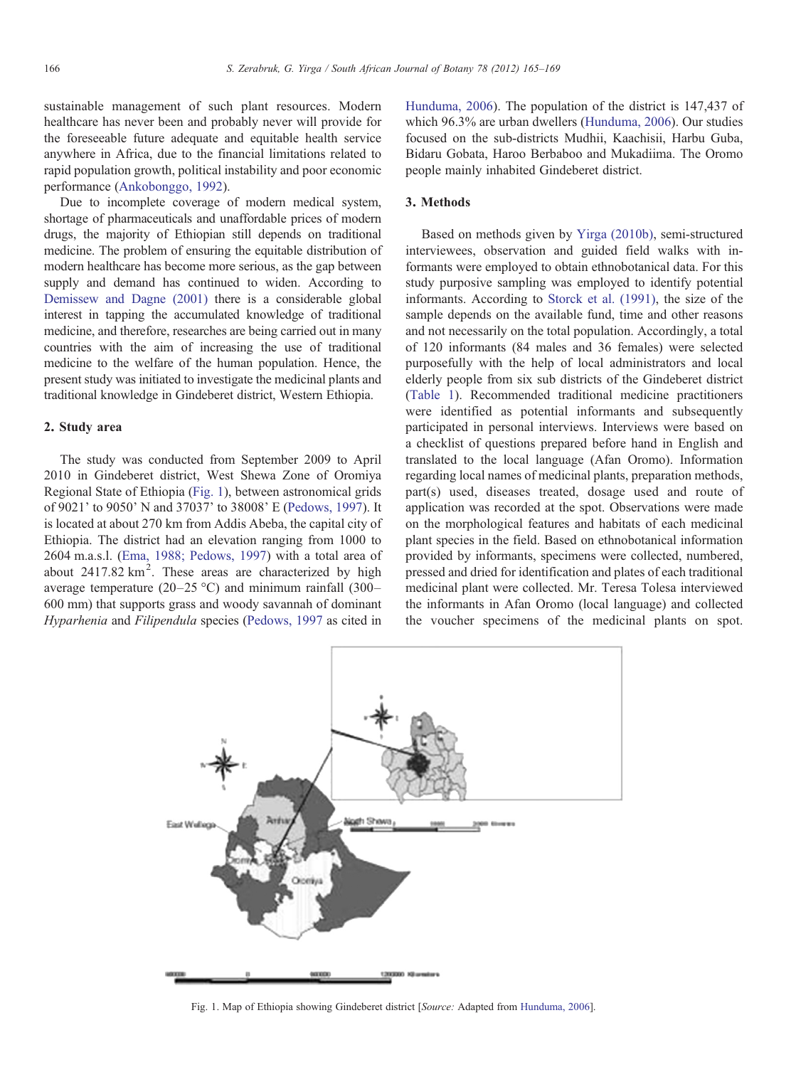sustainable management of such plant resources. Modern healthcare has never been and probably never will provide for the foreseeable future adequate and equitable health service anywhere in Africa, due to the financial limitations related to rapid population growth, political instability and poor economic performance [\(Ankobonggo, 1992\)](#page-4-0).

Due to incomplete coverage of modern medical system, shortage of pharmaceuticals and unaffordable prices of modern drugs, the majority of Ethiopian still depends on traditional medicine. The problem of ensuring the equitable distribution of modern healthcare has become more serious, as the gap between supply and demand has continued to widen. According to [Demissew and Dagne \(2001\)](#page-4-0) there is a considerable global interest in tapping the accumulated knowledge of traditional medicine, and therefore, researches are being carried out in many countries with the aim of increasing the use of traditional medicine to the welfare of the human population. Hence, the present study was initiated to investigate the medicinal plants and traditional knowledge in Gindeberet district, Western Ethiopia.

### 2. Study area

The study was conducted from September 2009 to April 2010 in Gindeberet district, West Shewa Zone of Oromiya Regional State of Ethiopia (Fig. 1), between astronomical grids of 9021' to 9050' N and 37037' to 38008' E ([Pedows, 1997\)](#page-4-0). It is located at about 270 km from Addis Abeba, the capital city of Ethiopia. The district had an elevation ranging from 1000 to 2604 m.a.s.l. ([Ema, 1988; Pedows, 1997](#page-4-0)) with a total area of about  $2417.82 \text{ km}^2$ . These areas are characterized by high average temperature (20–25 °C) and minimum rainfall (300– 600 mm) that supports grass and woody savannah of dominant Hyparhenia and Filipendula species ([Pedows, 1997](#page-4-0) as cited in [Hunduma, 2006\)](#page-4-0). The population of the district is 147,437 of which 96.3% are urban dwellers [\(Hunduma, 2006](#page-4-0)). Our studies focused on the sub-districts Mudhii, Kaachisii, Harbu Guba, Bidaru Gobata, Haroo Berbaboo and Mukadiima. The Oromo people mainly inhabited Gindeberet district.

## 3. Methods

Based on methods given by [Yirga \(2010b\),](#page-4-0) semi-structured interviewees, observation and guided field walks with informants were employed to obtain ethnobotanical data. For this study purposive sampling was employed to identify potential informants. According to [Storck et al. \(1991\),](#page-4-0) the size of the sample depends on the available fund, time and other reasons and not necessarily on the total population. Accordingly, a total of 120 informants (84 males and 36 females) were selected purposefully with the help of local administrators and local elderly people from six sub districts of the Gindeberet district ([Table 1](#page-2-0)). Recommended traditional medicine practitioners were identified as potential informants and subsequently participated in personal interviews. Interviews were based on a checklist of questions prepared before hand in English and translated to the local language (Afan Oromo). Information regarding local names of medicinal plants, preparation methods, part(s) used, diseases treated, dosage used and route of application was recorded at the spot. Observations were made on the morphological features and habitats of each medicinal plant species in the field. Based on ethnobotanical information provided by informants, specimens were collected, numbered, pressed and dried for identification and plates of each traditional medicinal plant were collected. Mr. Teresa Tolesa interviewed the informants in Afan Oromo (local language) and collected the voucher specimens of the medicinal plants on spot.



Fig. 1. Map of Ethiopia showing Gindeberet district [Source: Adapted from [Hunduma, 2006\]](#page-4-0).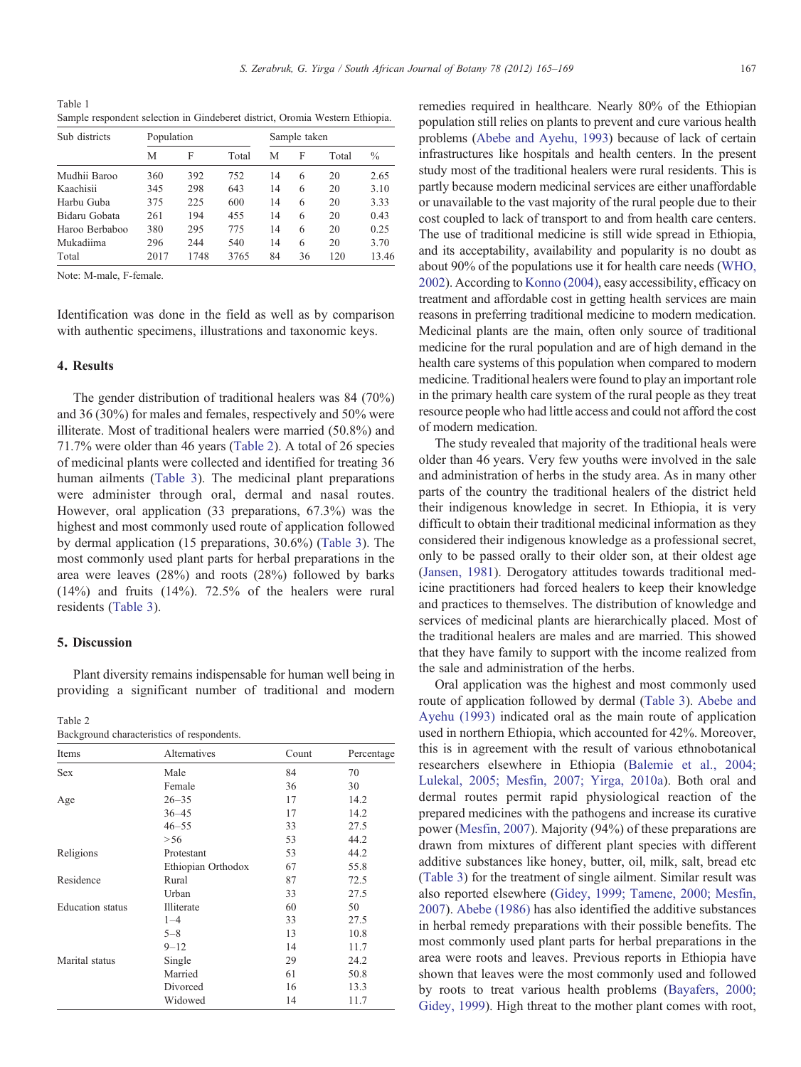<span id="page-2-0"></span>Table 1 Sample respondent selection in Gindeberet district, Oromia Western Ethiopia.

| Sub districts  | Population |      |       | Sample taken |    |       |               |
|----------------|------------|------|-------|--------------|----|-------|---------------|
|                | M          | F    | Total | M            | F  | Total | $\frac{0}{0}$ |
| Mudhii Baroo   | 360        | 392  | 752   | 14           | 6  | 20    | 2.65          |
| Kaachisii      | 345        | 298  | 643   | 14           | 6  | 20    | 3.10          |
| Harbu Guba     | 375        | 225  | 600   | 14           | 6  | 20    | 3.33          |
| Bidaru Gobata  | 261        | 194  | 455   | 14           | 6  | 20    | 0.43          |
| Haroo Berbaboo | 380        | 295  | 775   | 14           | 6  | 20    | 0.25          |
| Mukadiima      | 296        | 244  | 540   | 14           | 6  | 20    | 3.70          |
| Total          | 2017       | 1748 | 3765  | 84           | 36 | 120   | 13.46         |

Note: M-male, F-female.

Identification was done in the field as well as by comparison with authentic specimens, illustrations and taxonomic keys.

## 4. Results

The gender distribution of traditional healers was 84 (70%) and 36 (30%) for males and females, respectively and 50% were illiterate. Most of traditional healers were married (50.8%) and 71.7% were older than 46 years (Table 2). A total of 26 species of medicinal plants were collected and identified for treating 36 human ailments [\(Table 3](#page-3-0)). The medicinal plant preparations were administer through oral, dermal and nasal routes. However, oral application (33 preparations, 67.3%) was the highest and most commonly used route of application followed by dermal application (15 preparations, 30.6%) ([Table 3](#page-3-0)). The most commonly used plant parts for herbal preparations in the area were leaves (28%) and roots (28%) followed by barks (14%) and fruits (14%). 72.5% of the healers were rural residents ([Table 3](#page-3-0)).

## 5. Discussion

Plant diversity remains indispensable for human well being in providing a significant number of traditional and modern

Table 2

| .          |              |       |            |
|------------|--------------|-------|------------|
| Items      | Alternatives | Count | Percentage |
| <b>Sex</b> | Male         | 84    | 70         |
|            | $E$ amaala.  | 26    | 20         |

Background characteristics of respondents.

| <b>Sex</b>              | Male               | 84 | 70   |
|-------------------------|--------------------|----|------|
|                         | Female             | 36 | 30   |
| Age                     | $26 - 35$          | 17 | 14.2 |
|                         | $36 - 45$          | 17 | 14.2 |
|                         | $46 - 55$          | 33 | 27.5 |
|                         | > 56               | 53 | 44.2 |
| Religions               | Protestant         | 53 | 44.2 |
|                         | Ethiopian Orthodox | 67 | 55.8 |
| Residence               | Rural              | 87 | 72.5 |
|                         | Urban              | 33 | 27.5 |
| <b>Education</b> status | Illiterate         | 60 | 50   |
|                         | $1 - 4$            | 33 | 27.5 |
|                         | $5 - 8$            | 13 | 10.8 |
|                         | $9 - 12$           | 14 | 11.7 |
| Marital status          | Single             | 29 | 24.2 |
|                         | Married            | 61 | 50.8 |
|                         | Divorced           | 16 | 13.3 |
|                         | Widowed            | 14 | 11.7 |
|                         |                    |    |      |

remedies required in healthcare. Nearly 80% of the Ethiopian population still relies on plants to prevent and cure various health problems [\(Abebe and Ayehu, 1993\)](#page-4-0) because of lack of certain infrastructures like hospitals and health centers. In the present study most of the traditional healers were rural residents. This is partly because modern medicinal services are either unaffordable or unavailable to the vast majority of the rural people due to their cost coupled to lack of transport to and from health care centers. The use of traditional medicine is still wide spread in Ethiopia, and its acceptability, availability and popularity is no doubt as about 90% of the populations use it for health care needs ([WHO,](#page-4-0) [2002](#page-4-0)). According to [Konno \(2004\),](#page-4-0) easy accessibility, efficacy on treatment and affordable cost in getting health services are main reasons in preferring traditional medicine to modern medication. Medicinal plants are the main, often only source of traditional medicine for the rural population and are of high demand in the health care systems of this population when compared to modern medicine. Traditional healers were found to play an important role in the primary health care system of the rural people as they treat resource people who had little access and could not afford the cost of modern medication.

The study revealed that majority of the traditional heals were older than 46 years. Very few youths were involved in the sale and administration of herbs in the study area. As in many other parts of the country the traditional healers of the district held their indigenous knowledge in secret. In Ethiopia, it is very difficult to obtain their traditional medicinal information as they considered their indigenous knowledge as a professional secret, only to be passed orally to their older son, at their oldest age ([Jansen, 1981](#page-4-0)). Derogatory attitudes towards traditional medicine practitioners had forced healers to keep their knowledge and practices to themselves. The distribution of knowledge and services of medicinal plants are hierarchically placed. Most of the traditional healers are males and are married. This showed that they have family to support with the income realized from the sale and administration of the herbs.

Oral application was the highest and most commonly used route of application followed by dermal [\(Table 3](#page-3-0)). [Abebe and](#page-4-0) [Ayehu \(1993\)](#page-4-0) indicated oral as the main route of application used in northern Ethiopia, which accounted for 42%. Moreover, this is in agreement with the result of various ethnobotanical researchers elsewhere in Ethiopia [\(Balemie et al., 2004;](#page-4-0) [Lulekal, 2005; Mesfin, 2007; Yirga, 2010a](#page-4-0)). Both oral and dermal routes permit rapid physiological reaction of the prepared medicines with the pathogens and increase its curative power ([Mesfin, 2007\)](#page-4-0). Majority (94%) of these preparations are drawn from mixtures of different plant species with different additive substances like honey, butter, oil, milk, salt, bread etc ([Table 3\)](#page-3-0) for the treatment of single ailment. Similar result was also reported elsewhere ([Gidey, 1999; Tamene, 2000; Mesfin,](#page-4-0) [2007](#page-4-0)). [Abebe \(1986\)](#page-4-0) has also identified the additive substances in herbal remedy preparations with their possible benefits. The most commonly used plant parts for herbal preparations in the area were roots and leaves. Previous reports in Ethiopia have shown that leaves were the most commonly used and followed by roots to treat various health problems ([Bayafers, 2000;](#page-4-0) [Gidey, 1999\)](#page-4-0). High threat to the mother plant comes with root,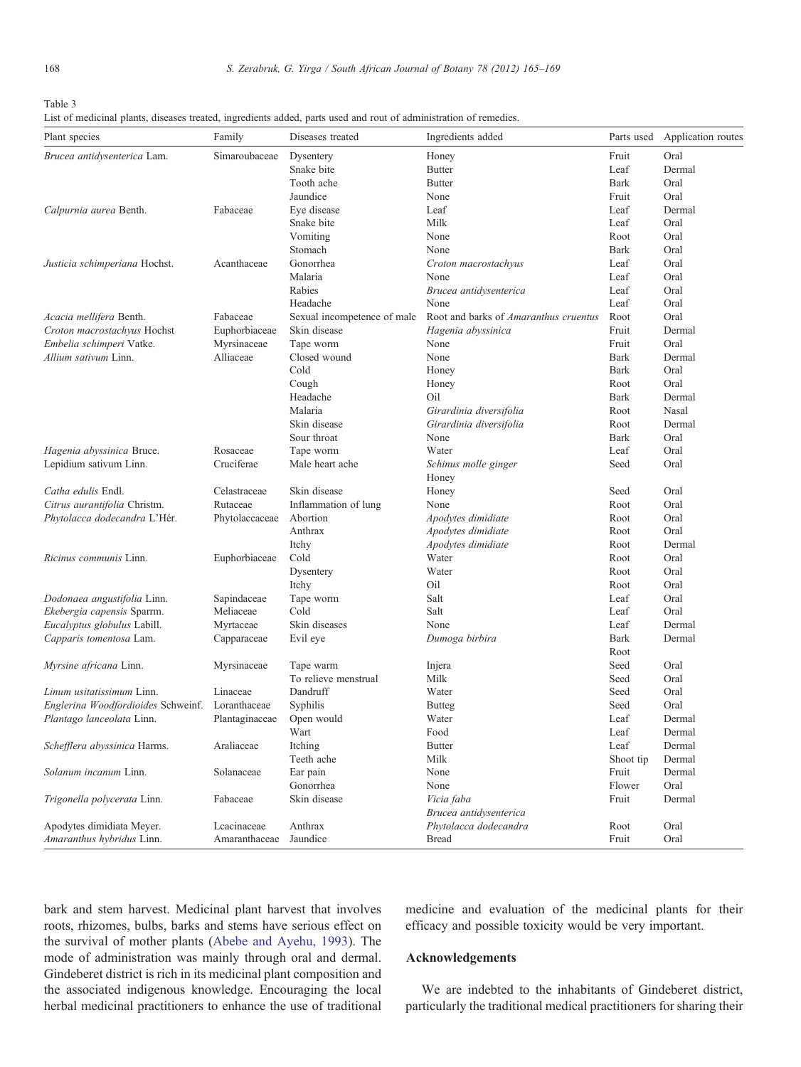<span id="page-3-0"></span>

| ٧<br>۰, |  |
|---------|--|

|  |  |  | List of medicinal plants, diseases treated, ingredients added, parts used and rout of administration of remedies. |
|--|--|--|-------------------------------------------------------------------------------------------------------------------|
|--|--|--|-------------------------------------------------------------------------------------------------------------------|

| Plant species                                   | Family         | Diseases treated            | Ingredients added                     | Parts used  | Application routes |
|-------------------------------------------------|----------------|-----------------------------|---------------------------------------|-------------|--------------------|
| Brucea antidysenterica Lam.                     | Simaroubaceae  | Dysentery                   | Honey                                 | Fruit       | Oral               |
|                                                 |                | Snake bite                  | <b>Butter</b>                         | Leaf        | Dermal             |
|                                                 |                | Tooth ache                  | <b>Butter</b>                         | <b>Bark</b> | Oral               |
|                                                 |                | Jaundice                    | None                                  | Fruit       | Oral               |
| Calpurnia aurea Benth.                          | Fabaceae       | Eye disease                 | Leaf                                  | Leaf        | Dermal             |
|                                                 |                | Snake bite                  | Milk                                  | Leaf        | Oral               |
|                                                 |                | Vomiting                    | None                                  | Root        | Oral               |
|                                                 |                | Stomach                     | None                                  | Bark        | Oral               |
| Justicia schimperiana Hochst.                   | Acanthaceae    | Gonorrhea                   | Croton macrostachyus                  | Leaf        | Oral               |
|                                                 |                | Malaria                     | None                                  | Leaf        | Oral               |
|                                                 |                | Rabies                      | Brucea antidysenterica                | Leaf        | Oral               |
|                                                 |                | Headache                    | None                                  | Leaf        | Oral               |
| Acacia mellifera Benth.                         | Fabaceae       | Sexual incompetence of male | Root and barks of Amaranthus cruentus | Root        | Oral               |
| Croton macrostachyus Hochst                     | Euphorbiaceae  | Skin disease                | Hagenia abyssinica                    | Fruit       | Dermal             |
| Embelia schimperi Vatke.                        | Myrsinaceae    | Tape worm                   | None                                  | Fruit       | Oral               |
| Allium sativum Linn.                            | Alliaceae      | Closed wound                | None                                  | Bark        | Dermal             |
|                                                 |                | Cold                        | Honey                                 | <b>Bark</b> | Oral               |
|                                                 |                | Cough                       | Honey                                 | Root        | Oral               |
|                                                 |                | Headache                    | Oil                                   | <b>Bark</b> | Dermal             |
|                                                 |                | Malaria                     | Girardinia diversifolia               | Root        | Nasal              |
|                                                 |                | Skin disease                | Girardinia diversifolia               | Root        | Dermal             |
|                                                 |                | Sour throat                 | None                                  | <b>Bark</b> | Oral               |
| Hagenia abyssinica Bruce.                       | Rosaceae       | Tape worm                   | Water                                 | Leaf        | Oral               |
| Lepidium sativum Linn.                          | Cruciferae     | Male heart ache             | Schinus molle ginger<br>Honey         | Seed        | Oral               |
| Catha edulis Endl.                              | Celastraceae   | Skin disease                | Honey                                 | Seed        | Oral               |
| Citrus aurantifolia Christm.                    | Rutaceae       | Inflammation of lung        | None                                  | Root        | Oral               |
| Phytolacca dodecandra L'Hér.                    | Phytolaccaceae | Abortion                    | Apodytes dimidiate                    | Root        | Oral               |
|                                                 |                | Anthrax                     | Apodytes dimidiate                    | Root        | Oral               |
|                                                 |                | Itchy                       | Apodytes dimidiate                    | Root        | Dermal             |
| <i>Ricinus communis</i> Linn.                   | Euphorbiaceae  | Cold                        | Water                                 | Root        | Oral               |
|                                                 |                | Dysentery                   | Water                                 | Root        | Oral               |
|                                                 |                | Itchy                       | Oil                                   | Root        | Oral               |
| Dodonaea angustifolia Linn.                     | Sapindaceae    | Tape worm                   | Salt                                  | Leaf        | Oral               |
| Ekebergia capensis Sparrm.                      | Meliaceae      | Cold                        | Salt                                  | Leaf        | Oral               |
| Eucalyptus globulus Labill.                     | Myrtaceae      | Skin diseases               | None                                  | Leaf        | Dermal             |
| Capparis tomentosa Lam.                         | Capparaceae    | Evil eye                    | Dumoga birbira                        | <b>Bark</b> | Dermal             |
|                                                 |                |                             |                                       | Root        |                    |
| Myrsine africana Linn.                          | Myrsinaceae    | Tape warm                   | Injera                                | Seed        | Oral               |
|                                                 |                | To relieve menstrual        | Milk                                  | Seed        | Oral               |
| Linum usitatissimum Linn.                       | Linaceae       | Dandruff                    | Water                                 | Seed        | Oral               |
| Englerina Woodfordioides Schweinf. Loranthaceae |                | Syphilis                    | <b>Butteg</b>                         | Seed        | Oral               |
| Plantago lanceolata Linn.                       | Plantaginaceae | Open would                  | Water                                 | Leaf        | Dermal             |
|                                                 |                | Wart                        | Food                                  | Leaf        | Dermal             |
| Schefflera abyssinica Harms.                    | Araliaceae     | Itching                     | <b>Butter</b>                         | Leaf        | Dermal             |
|                                                 |                | Teeth ache                  | Milk                                  | Shoot tip   | Dermal             |
| Solanum incanum Linn.                           | Solanaceae     | Ear pain                    | None                                  | Fruit       | Dermal             |
|                                                 |                | Gonorrhea                   | None                                  | Flower      | Oral               |
| Trigonella polycerata Linn.                     | Fabaceae       | Skin disease                | Vicia faba                            | Fruit       | Dermal             |
|                                                 |                |                             | Brucea antidysenterica                |             |                    |
| Apodytes dimidiata Meyer.                       | Lcacinaceae    | Anthrax                     | Phytolacca dodecandra                 | Root        | Oral               |
| Amaranthus hybridus Linn.                       | Amaranthaceae  | Jaundice                    | <b>Bread</b>                          | Fruit       | Oral               |

bark and stem harvest. Medicinal plant harvest that involves roots, rhizomes, bulbs, barks and stems have serious effect on the survival of mother plants [\(Abebe and Ayehu, 1993\)](#page-4-0). The mode of administration was mainly through oral and dermal. Gindeberet district is rich in its medicinal plant composition and the associated indigenous knowledge. Encouraging the local herbal medicinal practitioners to enhance the use of traditional

medicine and evaluation of the medicinal plants for their efficacy and possible toxicity would be very important.

## Acknowledgements

We are indebted to the inhabitants of Gindeberet district, particularly the traditional medical practitioners for sharing their